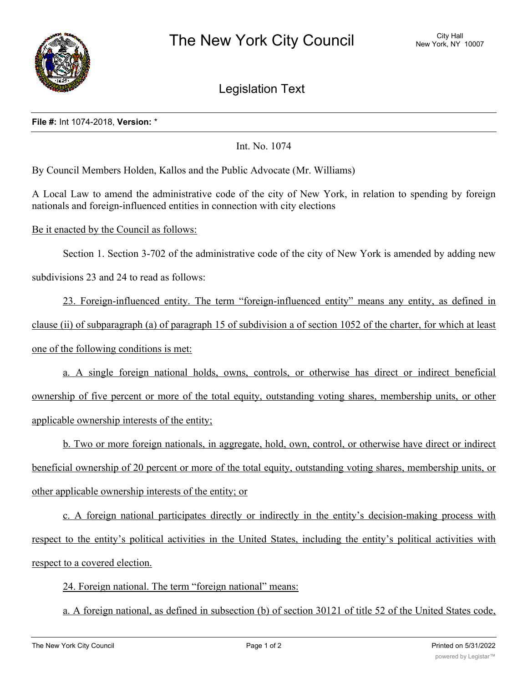

Legislation Text

## **File #:** Int 1074-2018, **Version:** \*

Int. No. 1074

By Council Members Holden, Kallos and the Public Advocate (Mr. Williams)

A Local Law to amend the administrative code of the city of New York, in relation to spending by foreign nationals and foreign-influenced entities in connection with city elections

Be it enacted by the Council as follows:

Section 1. Section 3-702 of the administrative code of the city of New York is amended by adding new subdivisions 23 and 24 to read as follows:

23. Foreign-influenced entity. The term "foreign-influenced entity" means any entity, as defined in clause (ii) of subparagraph (a) of paragraph 15 of subdivision a of section 1052 of the charter, for which at least one of the following conditions is met:

a. A single foreign national holds, owns, controls, or otherwise has direct or indirect beneficial ownership of five percent or more of the total equity, outstanding voting shares, membership units, or other applicable ownership interests of the entity;

b. Two or more foreign nationals, in aggregate, hold, own, control, or otherwise have direct or indirect beneficial ownership of 20 percent or more of the total equity, outstanding voting shares, membership units, or other applicable ownership interests of the entity; or

c. A foreign national participates directly or indirectly in the entity's decision-making process with respect to the entity's political activities in the United States, including the entity's political activities with respect to a covered election.

24. Foreign national. The term "foreign national" means:

a. A foreign national, as defined in subsection (b) of section 30121 of title 52 of the United States code,